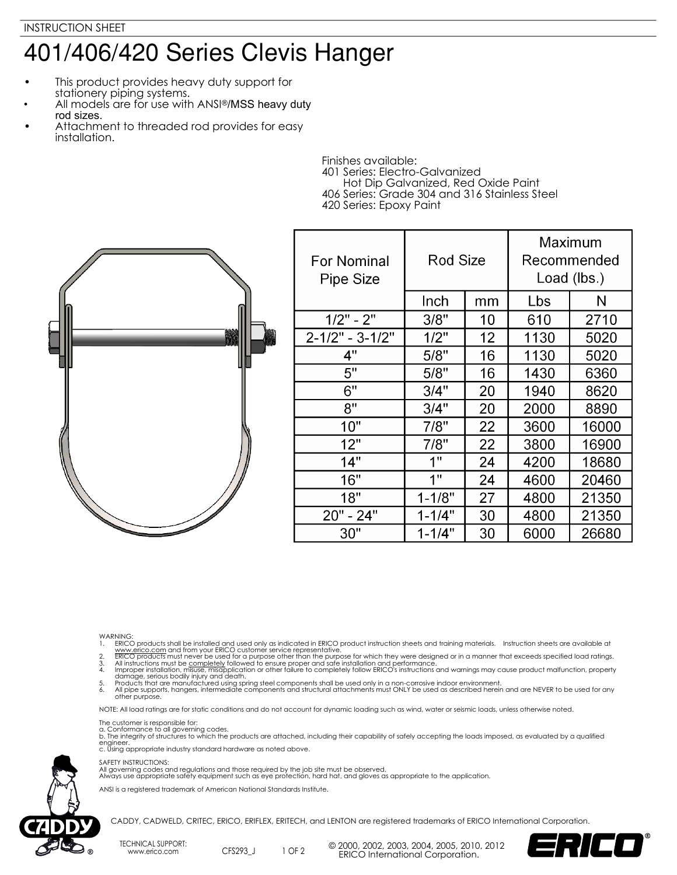## 401/406/420 Series Clevis Hanger

- This product provides heavy duty support for stationery piping systems.
- All models are for use with ANSI®/MSS heavy duty rod sizes.
- Attachment to threaded rod provides for easy installation.

Finishes available: 401 Series: Electro-Galvanized Hot Dip Galvanized, Red Oxide Paint 406 Series: Grade 304 and 316 Stainless Steel 420 Series: Epoxy Paint



| <b>For Nominal</b><br><b>Pipe Size</b> | Rod Size   |    | Maximum<br>Recommended<br>Load (lbs.) |       |
|----------------------------------------|------------|----|---------------------------------------|-------|
|                                        | Inch       | mm | Lbs                                   | N     |
| $1/2" - 2"$                            | 3/8"       | 10 | 610                                   | 2710  |
| $2 - 1/2" - 3 - 1/2"$                  | 1/2"       | 12 | 1130                                  | 5020  |
| 4"                                     | 5/8"       | 16 | 1130                                  | 5020  |
| 5"                                     | 5/8"       | 16 | 1430                                  | 6360  |
| 6"                                     | 3/4"       | 20 | 1940                                  | 8620  |
| 8"                                     | 3/4"       | 20 | 2000                                  | 8890  |
| 10"                                    | 7/8"       | 22 | 3600                                  | 16000 |
| 12"                                    | 7/8"       | 22 | 3800                                  | 16900 |
| 14"                                    | 1"         | 24 | 4200                                  | 18680 |
| 16"                                    | 1"         | 24 | 4600                                  | 20460 |
| 18"                                    | $1 - 1/8"$ | 27 | 4800                                  | 21350 |
| 20" - 24"                              | $1 - 1/4"$ | 30 | 4800                                  | 21350 |
| 30"                                    | $1 - 1/4"$ | 30 | 6000                                  | 26680 |

- 
- 
- 
- WARNING.<br>
I. ERICO products shall be installed and used only as indicated in ERICO product instruction sheets and training materials. Instruction sheets are available at<br>
1. <u>www.erico.com</u> and from your ERICO customer ser

NOTE: All load ratings are for static conditions and do not account for dynamic loading such as wind, water or seismic loads, unless otherwise noted.

The customer is responsible for:<br>a. Conformance to all governing codes.<br>b. The integrity of structures to which the products are attached, including their capability of safely accepting the loads imposed, as evaluated by a engineer. c. Using appropriate industry standard hardware as noted above.

## SAFETY INSTRUCTIONS:

All governing codes and regulations and those required by the job site must be observed. Always use appropriate safety equipment such as eye protection, hard hat, and gloves as appropriate to the application.

ANSI is a registered trademark of American National Standards Institute.



CADDY, CADWELD, CRITEC, ERICO, ERIFLEX, ERITECH, and LENTON are registered trademarks of ERICO International Corporation.

TECHNICAL SUPPORT: www.erico.com CFS293\_J

1 OF 2 <sup>©</sup> 2000, 2002, 2003, 2004, 2005, 2010, 2012 ERICO International Corporation.